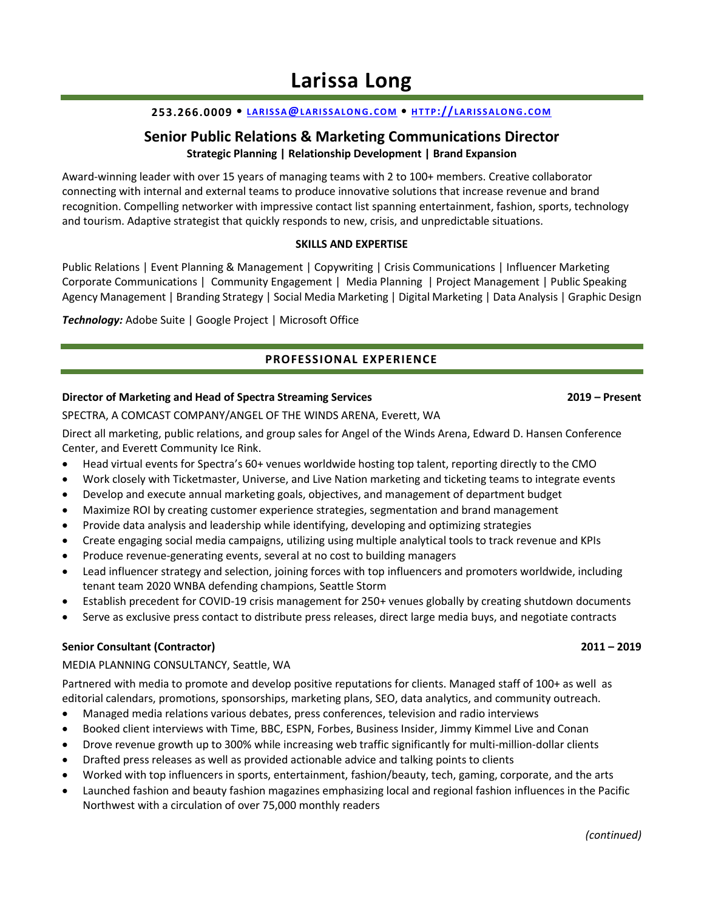## **253.266.0009 • LARIS S A@[LARIS S ALON G](mailto:larissa@larissalong.com).C OM • H T TP://[LA RIS S ALON G](http://larissalong.com/).C OM**

# **Senior Public Relations & Marketing Communications Director Strategic Planning | Relationship Development | Brand Expansion**

Award-winning leader with over 15 years of managing teams with 2 to 100+ members. Creative collaborator connecting with internal and external teams to produce innovative solutions that increase revenue and brand recognition. Compelling networker with impressive contact list spanning entertainment, fashion, sports, technology and tourism. Adaptive strategist that quickly responds to new, crisis, and unpredictable situations.

#### **SKILLS AND EXPERTISE**

Public Relations | Event Planning & Management | Copywriting | Crisis Communications | Influencer Marketing Corporate Communications | Community Engagement | Media Planning | Project Management | Public Speaking Agency Management | Branding Strategy | Social Media Marketing | Digital Marketing | Data Analysis | Graphic Design

*Technology:* Adobe Suite | Google Project | Microsoft Office

# **PROFESSIONAL EXPERIENCE**

#### **Director of Marketing and Head of Spectra Streaming Services 2019 – Present**

SPECTRA, A COMCAST COMPANY/ANGEL OF THE WINDS ARENA, Everett, WA

Direct all marketing, public relations, and group sales for Angel of the Winds Arena, Edward D. Hansen Conference Center, and Everett Community Ice Rink.

- Head virtual events for Spectra's 60+ venues worldwide hosting top talent, reporting directly to the CMO
- Work closely with Ticketmaster, Universe, and Live Nation marketing and ticketing teams to integrate events
- Develop and execute annual marketing goals, objectives, and management of department budget
- Maximize ROI by creating customer experience strategies, segmentation and brand management
- Provide data analysis and leadership while identifying, developing and optimizing strategies
- Create engaging social media campaigns, utilizing using multiple analytical tools to track revenue and KPIs
- Produce revenue-generating events, several at no cost to building managers
- Lead influencer strategy and selection, joining forces with top influencers and promoters worldwide, including tenant team 2020 WNBA defending champions, Seattle Storm
- Establish precedent for COVID-19 crisis management for 250+ venues globally by creating shutdown documents
- Serve as exclusive press contact to distribute press releases, direct large media buys, and negotiate contracts

### **Senior Consultant (Contractor) 2011 – 2019**

#### MEDIA PLANNING CONSULTANCY, Seattle, WA

Partnered with media to promote and develop positive reputations for clients. Managed staff of 100+ as well as editorial calendars, promotions, sponsorships, marketing plans, SEO, data analytics, and community outreach.

- Managed media relations various debates, press conferences, television and radio interviews
- Booked client interviews with Time, BBC, ESPN, Forbes, Business Insider, Jimmy Kimmel Live and Conan
- Drove revenue growth up to 300% while increasing web traffic significantly for multi-million-dollar clients
- Drafted press releases as well as provided actionable advice and talking points to clients
- Worked with top influencers in sports, entertainment, fashion/beauty, tech, gaming, corporate, and the arts
- Launched fashion and beauty fashion magazines emphasizing local and regional fashion influences in the Pacific Northwest with a circulation of over 75,000 monthly readers